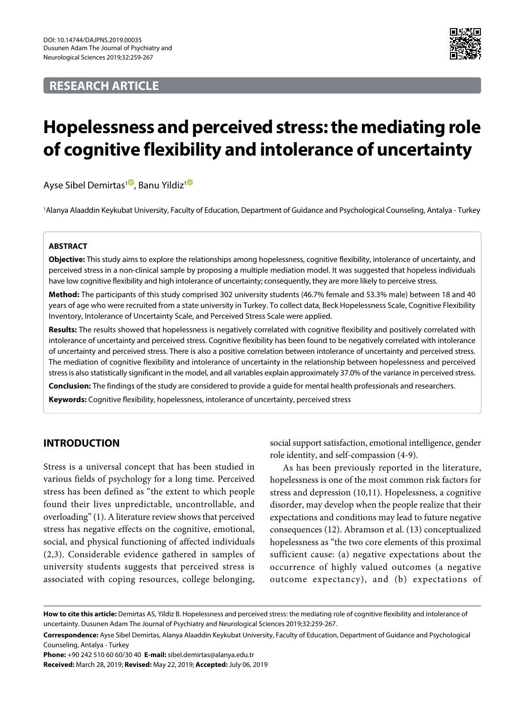# **RESEARCH ARTICLE**



# **Hopelessness and perceived stress: the mediating role of cognitive flexibility and intolerance of uncertainty**

Ayse Sibel Demirtas<sup>1</sup>[,](https://orcid.org/0000-0001-2345-6789) Banu Yildiz<sup>[1](https://orcid.org/000-0003-4516-9304)0</sup>

1 Alanya Alaaddin Keykubat University, Faculty of Education, Department of Guidance and Psychological Counseling, Antalya - Turkey

## **ABSTRACT**

**Objective:** This study aims to explore the relationships among hopelessness, cognitive flexibility, intolerance of uncertainty, and perceived stress in a non-clinical sample by proposing a multiple mediation model. It was suggested that hopeless individuals have low cognitive flexibility and high intolerance of uncertainty; consequently, they are more likely to perceive stress.

**Method:** The participants of this study comprised 302 university students (46.7% female and 53.3% male) between 18 and 40 years of age who were recruited from a state university in Turkey. To collect data, Beck Hopelessness Scale, Cognitive Flexibility Inventory, Intolerance of Uncertainty Scale, and Perceived Stress Scale were applied.

**Results:** The results showed that hopelessness is negatively correlated with cognitive flexibility and positively correlated with intolerance of uncertainty and perceived stress. Cognitive flexibility has been found to be negatively correlated with intolerance of uncertainty and perceived stress. There is also a positive correlation between intolerance of uncertainty and perceived stress. The mediation of cognitive flexibility and intolerance of uncertainty in the relationship between hopelessness and perceived stress is also statistically significant in the model, and all variables explain approximately 37.0% of the variance in perceived stress.

**Conclusion:** The findings of the study are considered to provide a guide for mental health professionals and researchers.

**Keywords:** Cognitive flexibility, hopelessness, intolerance of uncertainty, perceived stress

# **INTRODUCTION**

Stress is a universal concept that has been studied in various fields of psychology for a long time. Perceived stress has been defined as "the extent to which people found their lives unpredictable, uncontrollable, and overloading" (1). A literature review shows that perceived stress has negative effects on the cognitive, emotional, social, and physical functioning of affected individuals (2,3). Considerable evidence gathered in samples of university students suggests that perceived stress is associated with coping resources, college belonging,

social support satisfaction, emotional intelligence, gender role identity, and self-compassion (4-9).

As has been previously reported in the literature, hopelessness is one of the most common risk factors for stress and depression (10,11). Hopelessness, a cognitive disorder, may develop when the people realize that their expectations and conditions may lead to future negative consequences (12). Abramson et al. (13) conceptualized hopelessness as "the two core elements of this proximal sufficient cause: (a) negative expectations about the occurrence of highly valued outcomes (a negative outcome expectancy), and (b) expectations of

**Phone:** +90 242 510 60 60/30 40 **E-mail:** sibel.demirtas@alanya.edu.tr

**Received:** March 28, 2019; **Revised:** May 22, 2019; **Accepted:** July 06, 2019

**How to cite this article:** Demirtas AS, Yildiz B. Hopelessness and perceived stress: the mediating role of cognitive flexibility and intolerance of uncertainty. Dusunen Adam The Journal of Psychiatry and Neurological Sciences 2019;32:259-267.

**Correspondence:** Ayse Sibel Demirtas, Alanya Alaaddin Keykubat University, Faculty of Education, Department of Guidance and Psychological Counseling, Antalya - Turkey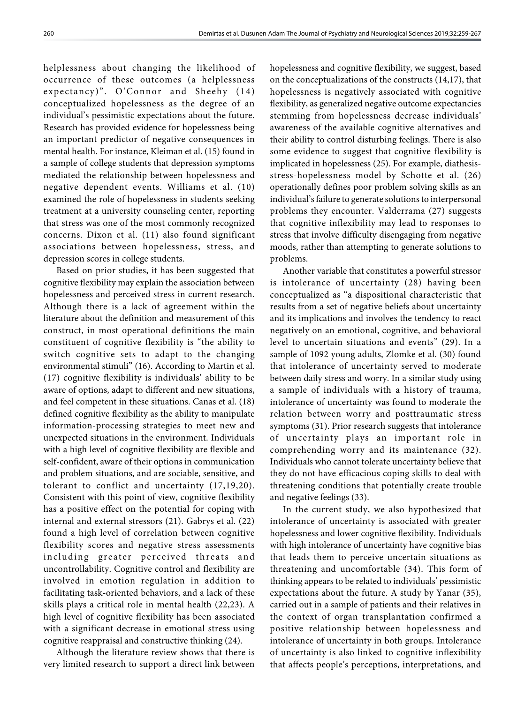helplessness about changing the likelihood of occurrence of these outcomes (a helplessness expectancy)". O'Connor and Sheehy (14) conceptualized hopelessness as the degree of an individual's pessimistic expectations about the future. Research has provided evidence for hopelessness being an important predictor of negative consequences in mental health. For instance, Kleiman et al. (15) found in a sample of college students that depression symptoms mediated the relationship between hopelessness and negative dependent events. Williams et al. (10) examined the role of hopelessness in students seeking treatment at a university counseling center, reporting that stress was one of the most commonly recognized concerns. Dixon et al. (11) also found significant associations between hopelessness, stress, and depression scores in college students.

Based on prior studies, it has been suggested that cognitive flexibility may explain the association between hopelessness and perceived stress in current research. Although there is a lack of agreement within the literature about the definition and measurement of this construct, in most operational definitions the main constituent of cognitive flexibility is "the ability to switch cognitive sets to adapt to the changing environmental stimuli" (16). According to Martin et al. (17) cognitive flexibility is individuals' ability to be aware of options, adapt to different and new situations, and feel competent in these situations. Canas et al. (18) defined cognitive flexibility as the ability to manipulate information-processing strategies to meet new and unexpected situations in the environment. Individuals with a high level of cognitive flexibility are flexible and self-confident, aware of their options in communication and problem situations, and are sociable, sensitive, and tolerant to conflict and uncertainty (17,19,20). Consistent with this point of view, cognitive flexibility has a positive effect on the potential for coping with internal and external stressors (21). Gabrys et al. (22) found a high level of correlation between cognitive flexibility scores and negative stress assessments including greater perceived threats and uncontrollability. Cognitive control and flexibility are involved in emotion regulation in addition to facilitating task-oriented behaviors, and a lack of these skills plays a critical role in mental health (22,23). A high level of cognitive flexibility has been associated with a significant decrease in emotional stress using cognitive reappraisal and constructive thinking (24).

Although the literature review shows that there is very limited research to support a direct link between

hopelessness and cognitive flexibility, we suggest, based on the conceptualizations of the constructs (14,17), that hopelessness is negatively associated with cognitive flexibility, as generalized negative outcome expectancies stemming from hopelessness decrease individuals' awareness of the available cognitive alternatives and their ability to control disturbing feelings. There is also some evidence to suggest that cognitive flexibility is implicated in hopelessness (25). For example, diathesisstress-hopelessness model by Schotte et al. (26) operationally defines poor problem solving skills as an individual's failure to generate solutions to interpersonal problems they encounter. Valderrama (27) suggests that cognitive inflexibility may lead to responses to stress that involve difficulty disengaging from negative moods, rather than attempting to generate solutions to problems.

Another variable that constitutes a powerful stressor is intolerance of uncertainty (28) having been conceptualized as "a dispositional characteristic that results from a set of negative beliefs about uncertainty and its implications and involves the tendency to react negatively on an emotional, cognitive, and behavioral level to uncertain situations and events" (29). In a sample of 1092 young adults, Zlomke et al. (30) found that intolerance of uncertainty served to moderate between daily stress and worry. In a similar study using a sample of individuals with a history of trauma, intolerance of uncertainty was found to moderate the relation between worry and posttraumatic stress symptoms (31). Prior research suggests that intolerance of uncertainty plays an important role in comprehending worry and its maintenance (32). Individuals who cannot tolerate uncertainty believe that they do not have efficacious coping skills to deal with threatening conditions that potentially create trouble and negative feelings (33).

In the current study, we also hypothesized that intolerance of uncertainty is associated with greater hopelessness and lower cognitive flexibility. Individuals with high intolerance of uncertainty have cognitive bias that leads them to perceive uncertain situations as threatening and uncomfortable (34). This form of thinking appears to be related to individuals' pessimistic expectations about the future. A study by Yanar (35), carried out in a sample of patients and their relatives in the context of organ transplantation confirmed a positive relationship between hopelessness and intolerance of uncertainty in both groups. Intolerance of uncertainty is also linked to cognitive inflexibility that affects people's perceptions, interpretations, and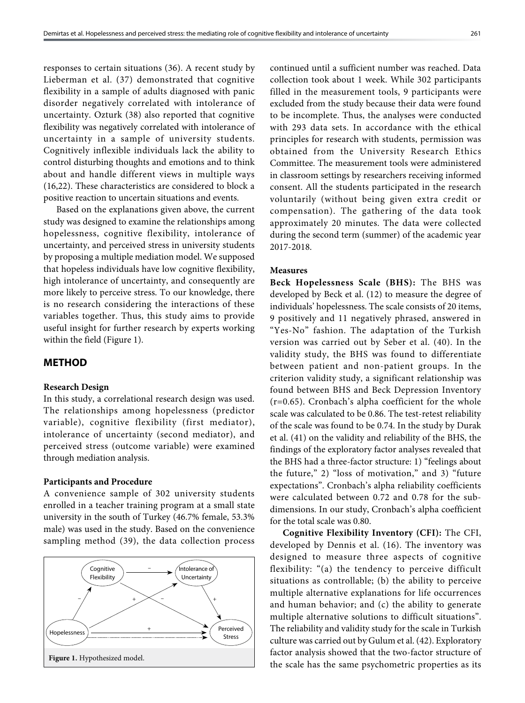responses to certain situations (36). A recent study by Lieberman et al. (37) demonstrated that cognitive flexibility in a sample of adults diagnosed with panic disorder negatively correlated with intolerance of uncertainty. Ozturk (38) also reported that cognitive flexibility was negatively correlated with intolerance of uncertainty in a sample of university students. Cognitively inflexible individuals lack the ability to control disturbing thoughts and emotions and to think about and handle different views in multiple ways (16,22). These characteristics are considered to block a positive reaction to uncertain situations and events.

Based on the explanations given above, the current study was designed to examine the relationships among hopelessness, cognitive flexibility, intolerance of uncertainty, and perceived stress in university students by proposing a multiple mediation model. We supposed that hopeless individuals have low cognitive flexibility, high intolerance of uncertainty, and consequently are more likely to perceive stress. To our knowledge, there is no research considering the interactions of these variables together. Thus, this study aims to provide useful insight for further research by experts working within the field (Figure 1).

## **METHOD**

#### **Research Design**

In this study, a correlational research design was used. The relationships among hopelessness (predictor variable), cognitive flexibility (first mediator), intolerance of uncertainty (second mediator), and perceived stress (outcome variable) were examined through mediation analysis.

#### **Participants and Procedure**

A convenience sample of 302 university students enrolled in a teacher training program at a small state university in the south of Turkey (46.7% female, 53.3% male) was used in the study. Based on the convenience sampling method (39), the data collection process



continued until a sufficient number was reached. Data collection took about 1 week. While 302 participants filled in the measurement tools, 9 participants were excluded from the study because their data were found to be incomplete. Thus, the analyses were conducted with 293 data sets. In accordance with the ethical principles for research with students, permission was obtained from the University Research Ethics Committee. The measurement tools were administered in classroom settings by researchers receiving informed consent. All the students participated in the research voluntarily (without being given extra credit or compensation). The gathering of the data took approximately 20 minutes. The data were collected during the second term (summer) of the academic year 2017-2018.

#### **Measures**

**Beck Hopelessness Scale (BHS):** The BHS was developed by Beck et al. (12) to measure the degree of individuals' hopelessness. The scale consists of 20 items, 9 positively and 11 negatively phrased, answered in "Yes-No" fashion. The adaptation of the Turkish version was carried out by Seber et al. (40). In the validity study, the BHS was found to differentiate between patient and non-patient groups. In the criterion validity study, a significant relationship was found between BHS and Beck Depression Inventory (r=0.65). Cronbach's alpha coefficient for the whole scale was calculated to be 0.86. The test-retest reliability of the scale was found to be 0.74. In the study by Durak et al. (41) on the validity and reliability of the BHS, the findings of the exploratory factor analyses revealed that the BHS had a three-factor structure: 1) "feelings about the future," 2) "loss of motivation," and 3) "future expectations". Cronbach's alpha reliability coefficients were calculated between 0.72 and 0.78 for the subdimensions. In our study, Cronbach's alpha coefficient for the total scale was 0.80.

**Cognitive Flexibility Inventory (CFI):** The CFI, developed by Dennis et al. (16). The inventory was designed to measure three aspects of cognitive flexibility: "(a) the tendency to perceive difficult situations as controllable; (b) the ability to perceive multiple alternative explanations for life occurrences and human behavior; and (c) the ability to generate multiple alternative solutions to difficult situations". The reliability and validity study for the scale in Turkish culture was carried out by Gulum et al. (42). Exploratory factor analysis showed that the two-factor structure of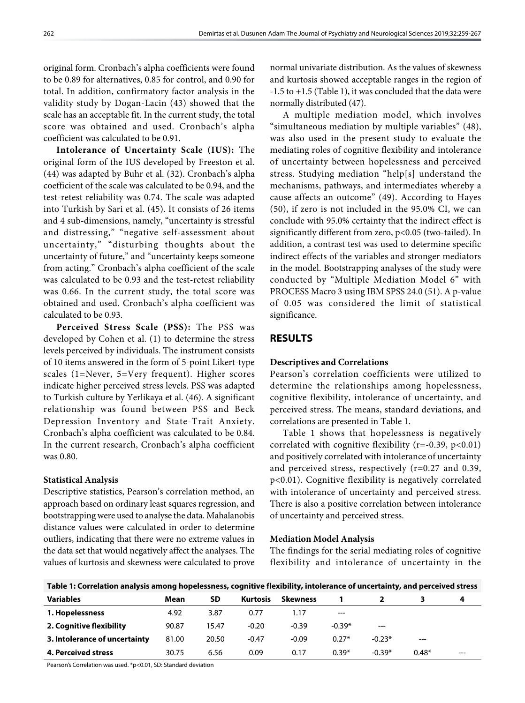original form. Cronbach's alpha coefficients were found to be 0.89 for alternatives, 0.85 for control, and 0.90 for total. In addition, confirmatory factor analysis in the validity study by Dogan-Lacin (43) showed that the scale has an acceptable fit. In the current study, the total score was obtained and used. Cronbach's alpha coefficient was calculated to be 0.91.

**Intolerance of Uncertainty Scale (IUS):** The original form of the IUS developed by Freeston et al. (44) was adapted by Buhr et al. (32). Cronbach's alpha coefficient of the scale was calculated to be 0.94, and the test-retest reliability was 0.74. The scale was adapted into Turkish by Sari et al. (45). It consists of 26 items and 4 sub-dimensions, namely, "uncertainty is stressful and distressing," "negative self-assessment about uncertainty," "disturbing thoughts about the uncertainty of future," and "uncertainty keeps someone from acting." Cronbach's alpha coefficient of the scale was calculated to be 0.93 and the test-retest reliability was 0.66. In the current study, the total score was obtained and used. Cronbach's alpha coefficient was calculated to be 0.93.

**Perceived Stress Scale (PSS):** The PSS was developed by Cohen et al. (1) to determine the stress levels perceived by individuals. The instrument consists of 10 items answered in the form of 5-point Likert-type scales (1=Never, 5=Very frequent). Higher scores indicate higher perceived stress levels. PSS was adapted to Turkish culture by Yerlikaya et al. (46). A significant relationship was found between PSS and Beck Depression Inventory and State-Trait Anxiety. Cronbach's alpha coefficient was calculated to be 0.84. In the current research, Cronbach's alpha coefficient was 0.80.

#### **Statistical Analysis**

Descriptive statistics, Pearson's correlation method, an approach based on ordinary least squares regression, and bootstrapping were used to analyse the data. Mahalanobis distance values were calculated in order to determine outliers, indicating that there were no extreme values in the data set that would negatively affect the analyses. The values of kurtosis and skewness were calculated to prove normal univariate distribution. As the values of skewness and kurtosis showed acceptable ranges in the region of -1.5 to +1.5 (Table 1), it was concluded that the data were normally distributed (47).

A multiple mediation model, which involves "simultaneous mediation by multiple variables" (48), was also used in the present study to evaluate the mediating roles of cognitive flexibility and intolerance of uncertainty between hopelessness and perceived stress. Studying mediation "help[s] understand the mechanisms, pathways, and intermediates whereby a cause affects an outcome" (49). According to Hayes (50), if zero is not included in the 95.0% CI, we can conclude with 95.0% certainty that the indirect effect is significantly different from zero, p<0.05 (two-tailed). In addition, a contrast test was used to determine specific indirect effects of the variables and stronger mediators in the model. Bootstrapping analyses of the study were conducted by "Multiple Mediation Model 6" with PROCESS Macro 3 using IBM SPSS 24.0 (51). A p-value of 0.05 was considered the limit of statistical significance.

# **RESULTS**

## **Descriptives and Correlations**

Pearson's correlation coefficients were utilized to determine the relationships among hopelessness, cognitive flexibility, intolerance of uncertainty, and perceived stress. The means, standard deviations, and correlations are presented in Table 1.

Table 1 shows that hopelessness is negatively correlated with cognitive flexibility ( $r=-0.39$ ,  $p<0.01$ ) and positively correlated with intolerance of uncertainty and perceived stress, respectively (r=0.27 and 0.39, p<0.01). Cognitive flexibility is negatively correlated with intolerance of uncertainty and perceived stress. There is also a positive correlation between intolerance of uncertainty and perceived stress.

## **Mediation Model Analysis**

The findings for the serial mediating roles of cognitive flexibility and intolerance of uncertainty in the

| Table 1: Correlation analysis among hopelessness, cognitive flexibility, intolerance of uncertainty, and perceived stress |       |       |                 |                 |          |          |         |       |
|---------------------------------------------------------------------------------------------------------------------------|-------|-------|-----------------|-----------------|----------|----------|---------|-------|
| <b>Variables</b>                                                                                                          | Mean  | SD    | <b>Kurtosis</b> | <b>Skewness</b> |          |          |         | 4     |
| 1. Hopelessness                                                                                                           | 4.92  | 3.87  | 0.77            | 1.17            | $---$    |          |         |       |
| 2. Cognitive flexibility                                                                                                  | 90.87 | 15.47 | $-0.20$         | $-0.39$         | $-0.39*$ | $---$    |         |       |
| 3. Intolerance of uncertainty                                                                                             | 81.00 | 20.50 | $-0.47$         | $-0.09$         | $0.27*$  | $-0.23*$ | $---$   |       |
| 4. Perceived stress                                                                                                       | 30.75 | 6.56  | 0.09            | 0.17            | $0.39*$  | $-0.39*$ | $0.48*$ | $---$ |

**Table 1: Correlation analysis among hopelessness, cognitive flexibility, intolerance of uncertainty, and perceived stress**

Pearson's Correlation was used. \*p<0.01, SD: Standard deviation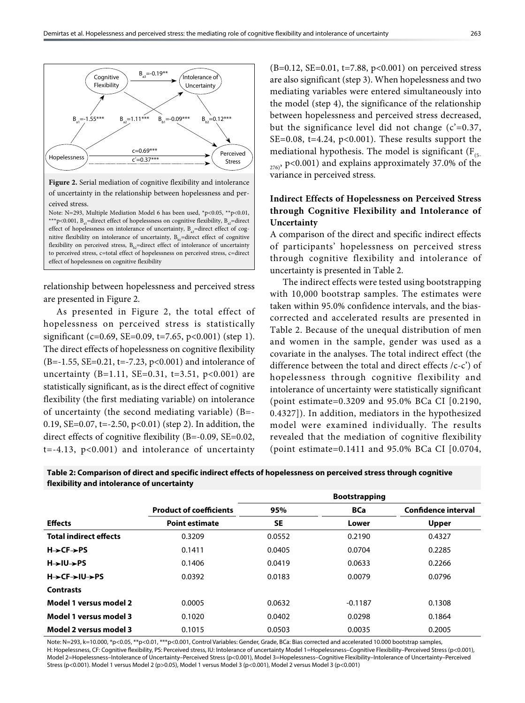

relationship between hopelessness and perceived stress are presented in Figure 2.

As presented in Figure 2, the total effect of hopelessness on perceived stress is statistically significant (c=0.69, SE=0.09, t=7.65, p<0.001) (step 1). The direct effects of hopelessness on cognitive flexibility (B=-1.55, SE=0.21, t=-7.23, p<0.001) and intolerance of uncertainty (B=1.11, SE=0.31, t=3.51,  $p<0.001$ ) are statistically significant, as is the direct effect of cognitive flexibility (the first mediating variable) on intolerance of uncertainty (the second mediating variable) (B=- 0.19, SE=0.07, t=-2.50, p<0.01) (step 2). In addition, the direct effects of cognitive flexibility (B=-0.09, SE=0.02,  $t=-4.13$ ,  $p<0.001$ ) and intolerance of uncertainty

(B=0.12, SE=0.01, t=7.88, p<0.001) on perceived stress are also significant (step 3). When hopelessness and two mediating variables were entered simultaneously into the model (step 4), the significance of the relationship between hopelessness and perceived stress decreased, but the significance level did not change  $(c'=0.37)$ , SE=0.08, t=4.24,  $p<0.001$ ). These results support the mediational hypothesis. The model is significant ( $F_{(5)}$ )  $276$ , p<0.001) and explains approximately 37.0% of the variance in perceived stress.

# **Indirect Effects of Hopelessness on Perceived Stress through Cognitive Flexibility and Intolerance of Uncertainty**

A comparison of the direct and specific indirect effects of participants' hopelessness on perceived stress through cognitive flexibility and intolerance of uncertainty is presented in Table 2.

The indirect effects were tested using bootstrapping with 10,000 bootstrap samples. The estimates were taken within 95.0% confidence intervals, and the biascorrected and accelerated results are presented in Table 2. Because of the unequal distribution of men and women in the sample, gender was used as a covariate in the analyses. The total indirect effect (the difference between the total and direct effects /c-c') of hopelessness through cognitive flexibility and intolerance of uncertainty were statistically significant (point estimate=0.3209 and 95.0% BCa CI [0.2190, 0.4327]). In addition, mediators in the hypothesized model were examined individually. The results revealed that the mediation of cognitive flexibility (point estimate=0.1411 and 95.0% BCa CI [0.0704,

|                                                 |                                |           | <b>Bootstrapping</b> |                            |
|-------------------------------------------------|--------------------------------|-----------|----------------------|----------------------------|
|                                                 | <b>Product of coefficients</b> | 95%       | <b>BCa</b>           | <b>Confidence interval</b> |
| <b>Effects</b>                                  | <b>Point estimate</b>          | <b>SE</b> | Lower                | <b>Upper</b>               |
| <b>Total indirect effects</b>                   | 0.3209                         | 0.0552    | 0.2190               | 0.4327                     |
| $H \rightarrow CF \rightarrow PS$               | 0.1411                         | 0.0405    | 0.0704               | 0.2285                     |
| $H \rightarrow H \rightarrow PS$                | 0.1406                         | 0.0419    | 0.0633               | 0.2266                     |
| $H \rightarrow CF \rightarrow H \rightarrow PS$ | 0.0392                         | 0.0183    | 0.0079               | 0.0796                     |
| <b>Contrasts</b>                                |                                |           |                      |                            |
| Model 1 versus model 2                          | 0.0005                         | 0.0632    | $-0.1187$            | 0.1308                     |
| Model 1 versus model 3                          | 0.1020                         | 0.0402    | 0.0298               | 0.1864                     |
| Model 2 versus model 3                          | 0.1015                         | 0.0503    | 0.0035               | 0.2005                     |

**Table 2: Comparison of direct and specific indirect effects of hopelessness on perceived stress through cognitive flexibility and intolerance of uncertainty**

Note: N=293, k=10.000, \*p<0.05, \*\*p<0.01, \*\*\*p<0.001, Control Variables: Gender, Grade, BCa: Bias corrected and accelerated 10.000 bootstrap samples, H: Hopelessness, CF: Cognitive flexibility, PS: Perceived stress, IU: Intolerance of uncertainty Model 1=Hopelessness–Cognitive Flexibility–Perceived Stress (p<0.001), Model 2=Hopelessness–Intolerance of Uncertainty–Perceived Stress (p<0.001), Model 3=Hopelessness–Cognitive Flexibility–Intolerance of Uncertainty–Perceived Stress (p<0.001). Model 1 versus Model 2 (p>0.05), Model 1 versus Model 3 (p<0.001), Model 2 versus Model 3 (p<0.001)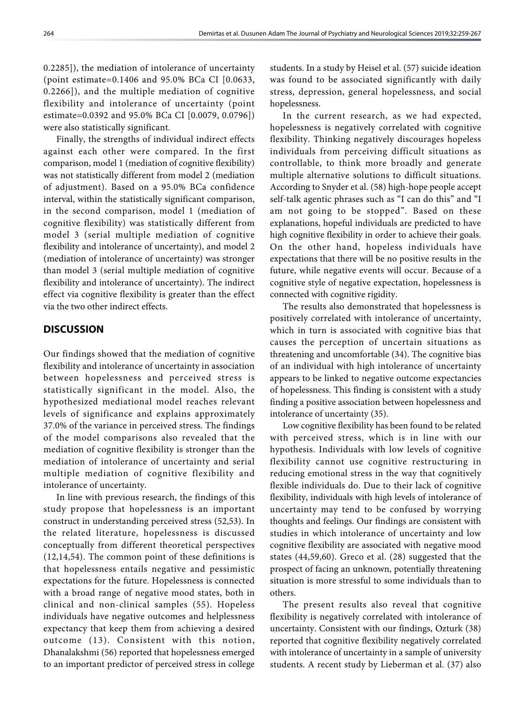0.2285]), the mediation of intolerance of uncertainty (point estimate=0.1406 and 95.0% BCa CI [0.0633, 0.2266]), and the multiple mediation of cognitive flexibility and intolerance of uncertainty (point estimate=0.0392 and 95.0% BCa CI [0.0079, 0.0796]) were also statistically significant.

Finally, the strengths of individual indirect effects against each other were compared. In the first comparison, model 1 (mediation of cognitive flexibility) was not statistically different from model 2 (mediation of adjustment). Based on a 95.0% BCa confidence interval, within the statistically significant comparison, in the second comparison, model 1 (mediation of cognitive flexibility) was statistically different from model 3 (serial multiple mediation of cognitive flexibility and intolerance of uncertainty), and model 2 (mediation of intolerance of uncertainty) was stronger than model 3 (serial multiple mediation of cognitive flexibility and intolerance of uncertainty). The indirect effect via cognitive flexibility is greater than the effect via the two other indirect effects.

# **DISCUSSION**

Our findings showed that the mediation of cognitive flexibility and intolerance of uncertainty in association between hopelessness and perceived stress is statistically significant in the model. Also, the hypothesized mediational model reaches relevant levels of significance and explains approximately 37.0% of the variance in perceived stress. The findings of the model comparisons also revealed that the mediation of cognitive flexibility is stronger than the mediation of intolerance of uncertainty and serial multiple mediation of cognitive flexibility and intolerance of uncertainty.

In line with previous research, the findings of this study propose that hopelessness is an important construct in understanding perceived stress (52,53). In the related literature, hopelessness is discussed conceptually from different theoretical perspectives (12,14,54). The common point of these definitions is that hopelessness entails negative and pessimistic expectations for the future. Hopelessness is connected with a broad range of negative mood states, both in clinical and non-clinical samples (55). Hopeless individuals have negative outcomes and helplessness expectancy that keep them from achieving a desired outcome (13). Consistent with this notion, Dhanalakshmi (56) reported that hopelessness emerged to an important predictor of perceived stress in college

students. In a study by Heisel et al. (57) suicide ideation was found to be associated significantly with daily stress, depression, general hopelessness, and social hopelessness.

In the current research, as we had expected, hopelessness is negatively correlated with cognitive flexibility. Thinking negatively discourages hopeless individuals from perceiving difficult situations as controllable, to think more broadly and generate multiple alternative solutions to difficult situations. According to Snyder et al. (58) high-hope people accept self-talk agentic phrases such as "I can do this" and "I am not going to be stopped". Based on these explanations, hopeful individuals are predicted to have high cognitive flexibility in order to achieve their goals. On the other hand, hopeless individuals have expectations that there will be no positive results in the future, while negative events will occur. Because of a cognitive style of negative expectation, hopelessness is connected with cognitive rigidity.

The results also demonstrated that hopelessness is positively correlated with intolerance of uncertainty, which in turn is associated with cognitive bias that causes the perception of uncertain situations as threatening and uncomfortable (34). The cognitive bias of an individual with high intolerance of uncertainty appears to be linked to negative outcome expectancies of hopelessness. This finding is consistent with a study finding a positive association between hopelessness and intolerance of uncertainty (35).

Low cognitive flexibility has been found to be related with perceived stress, which is in line with our hypothesis. Individuals with low levels of cognitive flexibility cannot use cognitive restructuring in reducing emotional stress in the way that cognitively flexible individuals do. Due to their lack of cognitive flexibility, individuals with high levels of intolerance of uncertainty may tend to be confused by worrying thoughts and feelings. Our findings are consistent with studies in which intolerance of uncertainty and low cognitive flexibility are associated with negative mood states (44,59,60). Greco et al. (28) suggested that the prospect of facing an unknown, potentially threatening situation is more stressful to some individuals than to others.

The present results also reveal that cognitive flexibility is negatively correlated with intolerance of uncertainty. Consistent with our findings, Ozturk (38) reported that cognitive flexibility negatively correlated with intolerance of uncertainty in a sample of university students. A recent study by Lieberman et al. (37) also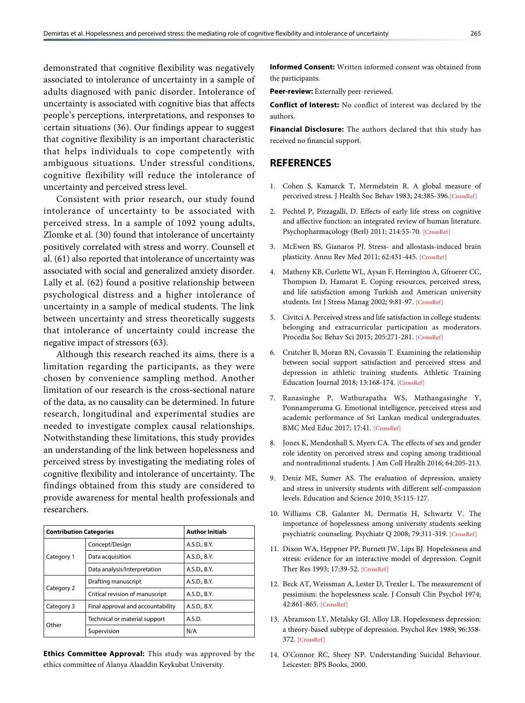demonstrated that cognitive flexibility was negatively associated to intolerance of uncertainty in a sample of adults diagnosed with panic disorder. Intolerance of uncertainty is associated with cognitive bias that affects people's perceptions, interpretations, and responses to certain situations (36). Our findings appear to suggest that cognitive flexibility is an important characteristic that helps individuals to cope competently with ambiguous situations. Under stressful conditions, cognitive flexibility will reduce the intolerance of uncertainty and perceived stress level.

Consistent with prior research, our study found intolerance of uncertainty to be associated with perceived stress. In a sample of 1092 young adults, Zlomke et al. (30) found that intolerance of uncertainty positively correlated with stress and worry. Counsell et al. (61) also reported that intolerance of uncertainty was associated with social and generalized anxiety disorder. Lally et al. (62) found a positive relationship between psychological distress and a higher intolerance of uncertainty in a sample of medical students. The link between uncertainty and stress theoretically suggests that intolerance of uncertainty could increase the negative impact of stressors (63).

Although this research reached its aims, there is a limitation regarding the participants, as they were chosen by convenience sampling method. Another limitation of our research is the cross-sectional nature of the data, as no causality can be determined. In future research, longitudinal and experimental studies are needed to investigate complex causal relationships. Notwithstanding these limitations, this study provides an understanding of the link between hopelessness and perceived stress by investigating the mediating roles of cognitive flexibility and intolerance of uncertainty. The findings obtained from this study are considered to provide awareness for mental health professionals and researchers.

| <b>Contribution Categories</b> |                                   | <b>Author Initials</b> |
|--------------------------------|-----------------------------------|------------------------|
|                                | Concept/Design                    | A.S.D., B.Y.           |
| Category 1                     | Data acquisition                  | A.S.D., B.Y.           |
|                                | Data analysis/Interpretation      | A.S.D., B.Y.           |
| Category 2                     | Drafting manuscript               | A.S.D., B.Y.           |
|                                | Critical revision of manuscript   | A.S.D., B.Y.           |
| Category 3                     | Final approval and accountability | A.S.D., B.Y.           |
| Other                          | Technical or material support     | A.S.D.                 |
|                                | Supervision                       | N/A                    |

**Ethics Committee Approval:** This study was approved by the ethics committee of Alanya Alaaddin Keykubat University.

**Informed Consent:** Written informed consent was obtained from the participants.

**Peer-review:** Externally peer-reviewed.

**Conflict of Interest:** No conflict of interest was declared by the authors.

**Financial Disclosure:** The authors declared that this study has received no financial support.

## **REFERENCES**

- 1. Cohen S, Kamarck T, Mermelstein R. A global measure of perceived stress. J Health Soc Behav 1983; 24:385-396.[\[CrossRef\]](https://doi.org/10.2307/2136404)
- 2. Pechtel P, Pizzagalli, D. Effects of early life stress on cognitive and affective function: an integrated review of human literature. Psychopharmacology (Berl) 2011; 214:55-70. [\[CrossRef\]](https://doi.org/10.1007/s00213-010-2009-2)
- 3. McEwen BS, Gianaros PJ. Stress- and allostasis-induced brain plasticity. Annu Rev Med 2011; 62:431-445. [\[CrossRef\]](https://doi.org/10.1146/annurev-med-052209-100430)
- 4. Matheny KB, Curlette WL, Aysan F, Herrington A, Gfroerer CC, Thompson D, Hamarat E. Coping resources, perceived stress, and life satisfaction among Turkish and American university students. Int J Stress Manag 2002; 9:81-9[7. \[CrossRef\]](https://doi.org/10.1023/A:1014902719664)
- 5. Civitci A. Perceived stress and life satisfaction in college students: belonging and extracurricular participation as moderators. Procedia Soc Behav Sci 2015; 205:271-281. [\[CrossRef\]](https://doi.org/10.1016/j.sbspro.2015.09.077)
- 6. Crutcher B, Moran RN, Covassin T. Examining the relationship between social support satisfaction and perceived stress and depression in athletic training students. Athletic Training Education Journal 2018; 13:168-17[4. \[CrossRef\]](https://doi.org/10.4085/1302168)
- 7. Ranasinghe P, Wathurapatha WS, Mathangasinghe Y, Ponnamperuma G. Emotional intelligence, perceived stress and academic performance of Sri Lankan medical undergraduates. BMC Med Educ 2017; 17:41[. \[CrossRef\]](https://doi.org/10.1186/s12909-017-0884-5)
- 8. Jones K, Mendenhall S, Myers CA. The effects of sex and gender role identity on perceived stress and coping among traditional and nontraditional students[. J Am Coll Health 2016; 64:205-213.](https://doi.org/10.1080/07448481.2015.1117462)
- 9. Deniz ME, Sumer AS. The evaluation of depression, anxiety and stress in university students with different self-compassion levels. Education and Science 2010; 35:115-127.
- 10. Williams CB, Galanter M, Dermatis H, Schwartz V. The importance of hopelessness among university students seeking psychiatric counseling. Psychiatr Q 2008; 79:311-319. [\[CrossRef\]](https://doi.org/10.1007/s11126-008-9085-z)
- 11. Dixon WA, Heppner PP, Burnett JW, Lips BJ. Hopelessness and stress: evidence for an interactive model of depression. Cognit Ther Res 1993; 17:39-52. [\[CrossRef\]](https://doi.org/10.1007/BF01172739)
- 12. Beck AT, Weissman A, Lester D, Trexler L. The measurement of pessimism: the hopelessness scale. J Consult Clin Psychol 1974; 42:861-865. [\[CrossRef\]](https://doi.org/10.1037/h0037562)
- 13. Abramson LY, Metalsky GI, Alloy LB. Hopelessness depression: a theory-based subtype of depression. Psychol Rev 1989; 96:358- 372. [\[CrossRef\]](https://doi.org/10.1037/0033-295X.96.2.358)
- 14. O'Connor RC, Sheey NP. Understanding Suicidal Behaviour. Leicester: BPS Books, 2000.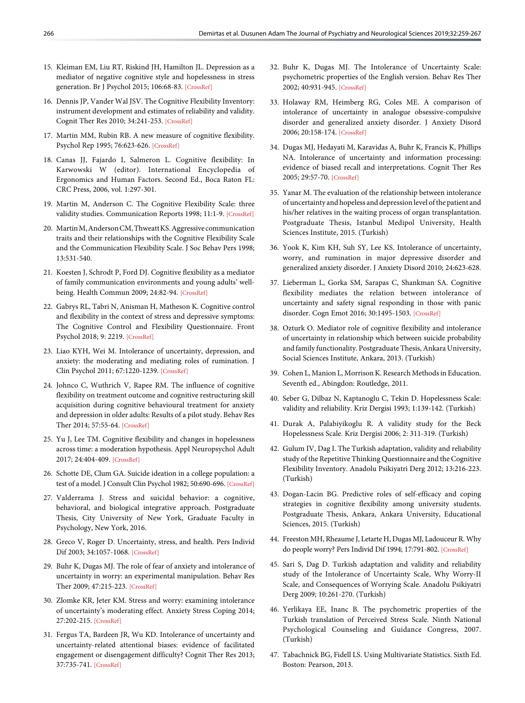- 15. Kleiman EM, Liu RT, Riskind JH, Hamilton JL. Depression as a mediator of negative cognitive style and hopelessness in stress generation. Br J Psychol 2015; 106:68-83[. \[CrossRef\]](https://doi.org/10.1111/bjop.12066)
- 16. Dennis JP, Vander Wal JSV. The Cognitive Flexibility Inventory: instrument development and estimates of reliability and validity. Cognit Ther Res 2010; 34:241-253. [\[CrossRef\]](https://doi.org/10.1007/s10608-009-9276-4)
- 17. Martin MM, Rubin RB. A new measure of cognitive flexibility. Psychol Rep 1995; 76:623-626. [\[CrossRef\]](https://doi.org/10.2466/pr0.1995.76.2.623)
- 18. Canas JJ, Fajardo I, Salmeron L. Cognitive flexibility: In Karwowski W (editor). International Encyclopedia of Ergonomics and Human Factors. Second Ed., Boca Raton FL: CRC Press, 2006, vol. 1:297-301.
- 19. Martin M, Anderson C. The Cognitive Flexibility Scale: three validity studies. Communication Reports 1998; 11:1-[9. \[CrossRef\]](https://doi.org/10.1080/08934219809367680)
- 20. Martin M, Anderson CM, Thweatt KS. Aggressive communication traits and their relationships with the Cognitive Flexibility Scale and the Communication Flexibility Scale. J Soc Behav Pers 1998; 13:531-540.
- 21. Koesten J, Schrodt P, Ford DJ. Cognitive flexibility as a mediator of family communication environments and young adults' wellbeing. Health Commun 2009; 24:82-94. [\[CrossRef\]](https://doi.org/10.1080/10410230802607024)
- 22. Gabrys RL, Tabri N, Anisman H, Matheson K. Cognitive control and flexibility in the context of stress and depressive symptoms: The Cognitive Control and Flexibility Questionnaire. Front Psychol 2018; 9: 2219[. \[CrossRef\]](https://doi.org/10.3389/fpsyg.2018.02219)
- 23. Liao KYH, Wei M. Intolerance of uncertainty, depression, and anxiety: the moderating and mediating roles of rumination. J Clin Psychol 2011; 67:1220-1239. [\[CrossRef\]](https://doi.org/10.1002/jclp.20846)
- 24. Johnco C, Wuthrich V, Rapee RM. The influence of cognitive flexibility on treatment outcome and cognitive restructuring skill acquisition during cognitive behavioural treatment for anxiety and depression in older adults: Results of a pilot study. Behav Res Ther 2014; 57:55-64. [\[CrossRef\]](https://doi.org/10.1016/j.brat.2014.04.005)
- 25. Yu J, Lee TM. Cognitive flexibility and changes in hopelessness across time: a moderation hypothesis. Appl Neuropsychol Adult 2017; 24:404-40[9. \[CrossRef\]](https://doi.org/10.1080/23279095.2016.1155991)
- 26. Schotte DE, Clum GA. Suicide ideation in a college population: a test of a model. J Consult Clin Psychol 1982; 50:690-696. [\[CrossRef\]](https://doi.org/10.1037/0022-006X.50.5.690)
- 27. Valderrama J. Stress and suicidal behavior: a cognitive, behavioral, and biological integrative approach. Postgraduate Thesis, City University of New York, Graduate Faculty in Psychology, New York, 2016.
- 28. Greco V, Roger D. Uncertainty, stress, and health. Pers Individ Dif 2003; 34:1057-1068. [\[CrossRef\]](https://doi.org/10.1016/S0191-8869(02)00091-0)
- 29. Buhr K, Dugas MJ. The role of fear of anxiety and intolerance of uncertainty in worry: an experimental manipulation. Behav Res Ther 2009; 47:215-223. [\[CrossRef\]](https://doi.org/10.1016/j.brat.2008.12.004)
- 30. Zlomke KR, Jeter KM. Stress and worry: examining intolerance of uncertainty's moderating effect. Anxiety Stress Coping 2014; 27:202-215. [\[CrossRef\]](https://doi.org/10.1080/10615806.2013.835400)
- 31. Fergus TA, Bardeen JR, Wu KD. Intolerance of uncertainty and uncertainty-related attentional biases: evidence of facilitated engagement or disengagement difficulty? Cognit Ther Res 2013; 37:735-741. [\[CrossRef\]](https://doi.org/10.1007/s10608-012-9509-9)
- 32. Buhr K, Dugas MJ. The Intolerance of Uncertainty Scale: psychometric properties of the English version. Behav Res Ther 2002; 40:931-945. [\[CrossRef\]](https://doi.org/10.1016/S0005-7967(01)00092-4)
- 33. Holaway RM, Heimberg RG, Coles ME. A comparison of intolerance of uncertainty in analogue obsessive-compulsive disorder and generalized anxiety disorder. J Anxiety Disord 2006; 20:158-174. [\[CrossRef\]](https://doi.org/10.1016/j.janxdis.2005.01.002)
- 34. Dugas MJ, Hedayati M, Karavidas A, Buhr K, Francis K, Phillips NA. Intolerance of uncertainty and information processing: evidence of biased recall and interpretations. Cognit Ther Res 2005; 29:57-70. [\[CrossRef\]](https://doi.org/10.1007/s10608-005-1648-9)
- 35. Yanar M. The evaluation of the relationship between intolerance of uncertainty and hopeless and depression level of the patient and his/her relatives in the waiting process of organ transplantation. Postgraduate Thesis, Istanbul Medipol University, Health Sciences Institute, 2015. (Turkish)
- 36. Yook K, Kim KH, Suh SY, Lee KS. Intolerance of uncertainty, worry, and rumination in major depressive disorder and generalized anxiety disorder. [J Anxiety Disord 2010; 24:623-628.](https://doi.org/10.1016/j.janxdis.2010.04.003)
- 37. Lieberman L, Gorka SM, Sarapas C, Shankman SA. Cognitive flexibility mediates the relation between intolerance of uncertainty and safety signal responding in those with panic disorder. Cogn Emot 2016; 30:1495-150[3. \[CrossRef\]](https://doi.org/10.1080/02699931.2015.1067189)
- 38. Ozturk O. Mediator role of cognitive flexibility and intolerance of uncertainty in relationship which between suicide probability and family functionality. Postgraduate Thesis, Ankara University, Social Sciences Institute, Ankara, 2013. (Turkish)
- 39. Cohen L, Manion L, Morrison K. Research Methods in Education. Seventh ed., Abingdon: Routledge, 2011.
- 40. Seber G, Dilbaz N, Kaptanoglu C, Tekin D. Hopelessness Scale: validity and reliability. Kriz Dergisi 1993; 1:139-142. (Turkish)
- 41. Durak A, Palabiyikoglu R. A validity study for the Beck Hopelessness Scale. Kriz Dergisi 2006; 2: 311-319. (Turkish)
- 42. Gulum IV, Dag I. The Turkish adaptation, validity and reliability study of the Repetitive Thinking Questionnaire and the Cognitive Flexibility Inventory. Anadolu Psikiyatri Derg 2012; 13:216-223. (Turkish)
- 43. Dogan-Lacin BG. Predictive roles of self-efficacy and coping strategies in cognitive flexibility among university students. Postgraduate Thesis, Ankara, Ankara University, Educational Sciences, 2015. (Turkish)
- 44. Freeston MH, Rheaume J, Letarte H, Dugas MJ, Ladouceur R. Why do people worry? Pers Individ Dif 1994; 17:791-802. [\[CrossRef\]](https://doi.org/10.1016/0191-8869(94)90048-5)
- 45. Sari S, Dag D. Turkish adaptation and validity and reliability study of the Intolerance of Uncertainty Scale, Why Worry-II Scale, and Consequences of Worrying Scale. Anadolu Psikiyatri Derg 2009; 10:261-270. (Turkish)
- 46. Yerlikaya EE, Inanc B. The psychometric properties of the Turkish translation of Perceived Stress Scale. Ninth National Psychological Counseling and Guidance Congress, 2007. (Turkish)
- 47. Tabachnick BG, Fidell LS. Using Multivariate Statistics. Sixth Ed. Boston: Pearson, 2013.